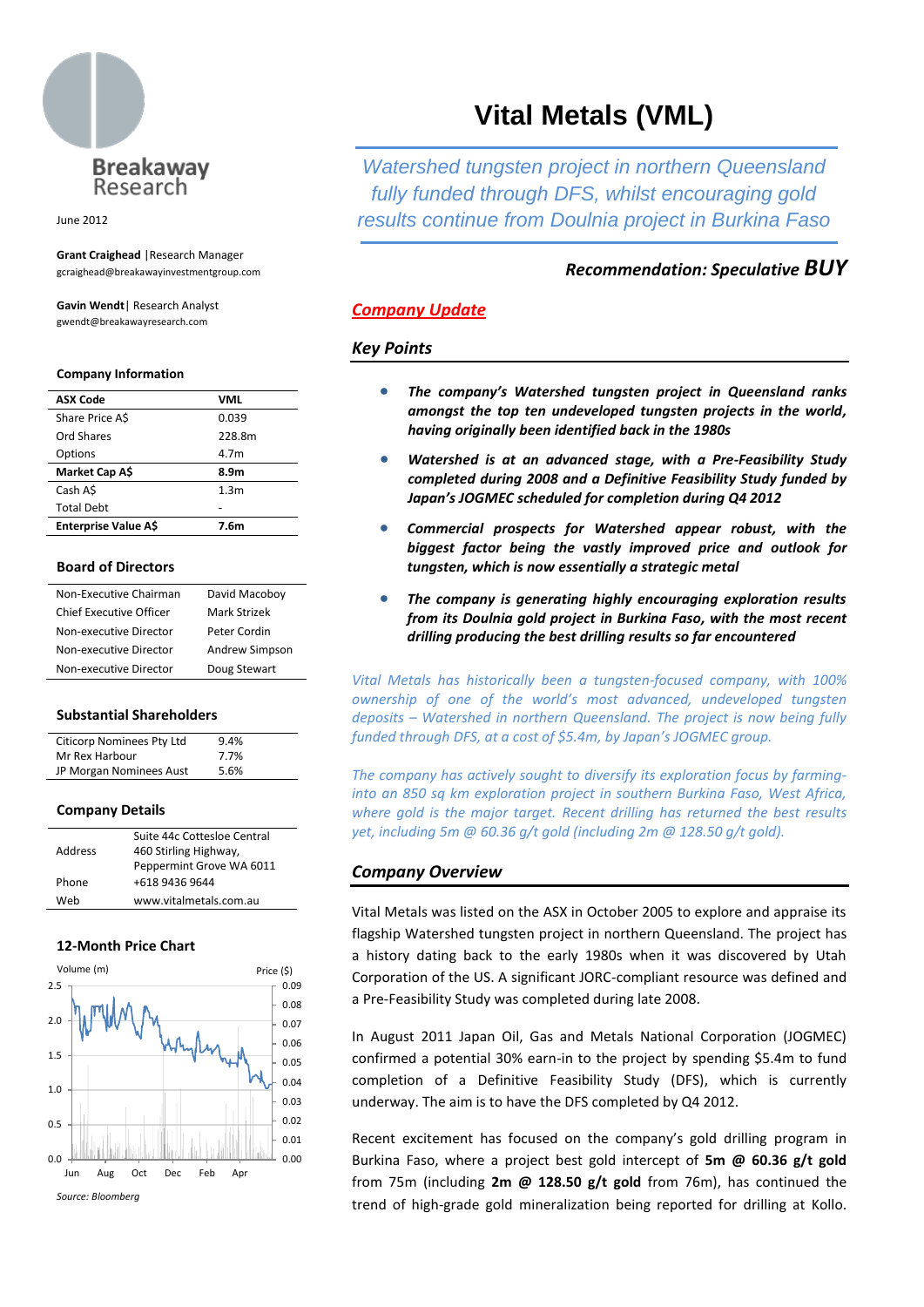

June 2012

**Grant Craighead** |Research Manager gcraighead@breakawayinvestmentgroup.com

**Gavin Wendt**| Research Analyst gwendt@breakawayresearch.com

#### **Company Information**

| <b>ASX Code</b>      | VML              |
|----------------------|------------------|
| Share Price AS       | 0.039            |
| Ord Shares           | 228.8m           |
| Options              | 4.7m             |
| Market Cap A\$       | 8.9m             |
| Cash AS              | 1.3 <sub>m</sub> |
| <b>Total Debt</b>    |                  |
| Enterprise Value A\$ | 7.6m             |

### **Board of Directors**

| Non-Executive Chairman  | David Macoboy  |  |
|-------------------------|----------------|--|
| Chief Executive Officer | Mark Strizek   |  |
| Non-executive Director  | Peter Cordin   |  |
| Non-executive Director  | Andrew Simpson |  |
| Non-executive Director  | Doug Stewart   |  |

#### **Substantial Shareholders**

| Citicorp Nominees Pty Ltd | 9.4% |
|---------------------------|------|
| Mr Rex Harbour            | 7.7% |
| JP Morgan Nominees Aust   | 5.6% |

#### **Company Details**

|         | Suite 44c Cottesloe Central |
|---------|-----------------------------|
| Address | 460 Stirling Highway,       |
|         | Peppermint Grove WA 6011    |
| Phone   | +618 9436 9644              |
| Web     | www.vitalmetals.com.au      |

### **12-Month Price Chart**



# **Vital Metals (VML)**

*Watershed tungsten project in northern Queensland fully funded through DFS, whilst encouraging gold results continue from Doulnia project in Burkina Faso*

## *Recommendation: Speculative BUY*

## *Company Update*

## *Key Points*

- *The company's Watershed tungsten project in Queensland ranks amongst the top ten undeveloped tungsten projects in the world, having originally been identified back in the 1980s*
- *Watershed is at an advanced stage, with a Pre-Feasibility Study completed during 2008 and a Definitive Feasibility Study funded by Japan's JOGMEC scheduled for completion during Q4 2012*
- *Commercial prospects for Watershed appear robust, with the biggest factor being the vastly improved price and outlook for tungsten, which is now essentially a strategic metal*
- *The company is generating highly encouraging exploration results from its Doulnia gold project in Burkina Faso, with the most recent drilling producing the best drilling results so far encountered*

*Vital Metals has historically been a tungsten-focused company, with 100% ownership of one of the world's most advanced, undeveloped tungsten deposits – Watershed in northern Queensland. The project is now being fully funded through DFS, at a cost of \$5.4m, by Japan's JOGMEC group.*

*The company has actively sought to diversify its exploration focus by farminginto an 850 sq km exploration project in southern Burkina Faso, West Africa, where gold is the major target. Recent drilling has returned the best results yet, including 5m @ 60.36 g/t gold (including 2m @ 128.50 g/t gold).*

## *Company Overview*

Vital Metals was listed on the ASX in October 2005 to explore and appraise its flagship Watershed tungsten project in northern Queensland. The project has a history dating back to the early 1980s when it was discovered by Utah Corporation of the US. A significant JORC-compliant resource was defined and a Pre-Feasibility Study was completed during late 2008.

In August 2011 Japan Oil, Gas and Metals National Corporation (JOGMEC) confirmed a potential 30% earn-in to the project by spending \$5.4m to fund completion of a Definitive Feasibility Study (DFS), which is currently underway. The aim is to have the DFS completed by Q4 2012.

Recent excitement has focused on the company's gold drilling program in Burkina Faso, where a project best gold intercept of **5m @ 60.36 g/t gold**  from 75m (including **2m @ 128.50 g/t gold** from 76m), has continued the trend of high-grade gold mineralization being reported for drilling at Kollo.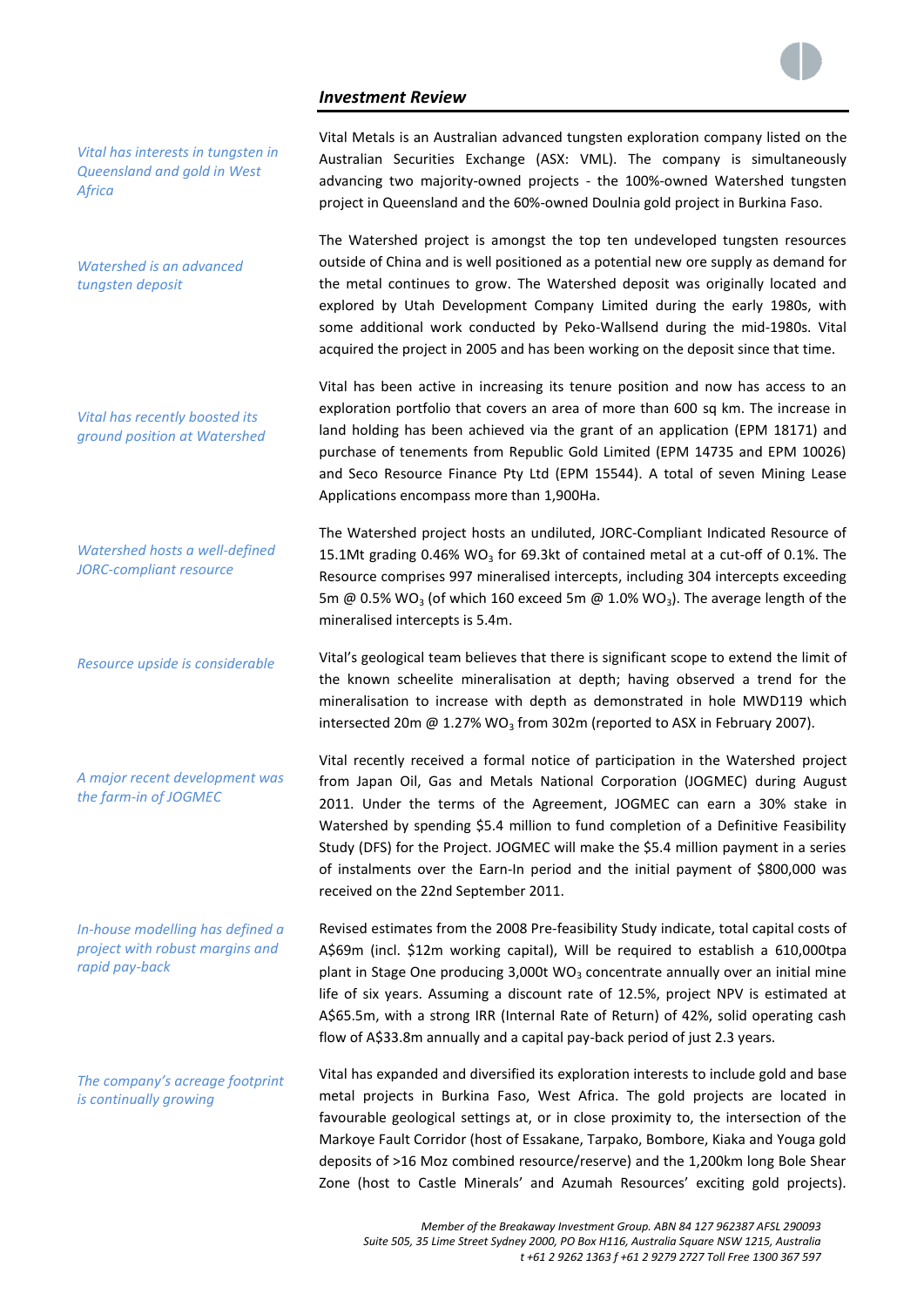## *Investment Review*



*Vital has interests in tungsten in Queensland and gold in West Africa*

*Watershed is an advanced tungsten deposit*

*Vital has recently boosted its ground position at Watershed*

*Watershed hosts a well-defined JORC-compliant resource*

*Resource upside is considerable*

*A major recent development was the farm-in of JOGMEC*

*In-house modelling has defined a project with robust margins and rapid pay-back*

*The company's acreage footprint is continually growing*

Vital Metals is an Australian advanced tungsten exploration company listed on the Australian Securities Exchange (ASX: VML). The company is simultaneously advancing two majority-owned projects - the 100%-owned Watershed tungsten project in Queensland and the 60%-owned Doulnia gold project in Burkina Faso.

The Watershed project is amongst the top ten undeveloped tungsten resources outside of China and is well positioned as a potential new ore supply as demand for the metal continues to grow. The Watershed deposit was originally located and explored by Utah Development Company Limited during the early 1980s, with some additional work conducted by Peko-Wallsend during the mid-1980s. Vital acquired the project in 2005 and has been working on the deposit since that time.

Vital has been active in increasing its tenure position and now has access to an exploration portfolio that covers an area of more than 600 sq km. The increase in land holding has been achieved via the grant of an application (EPM 18171) and purchase of tenements from Republic Gold Limited (EPM 14735 and EPM 10026) and Seco Resource Finance Pty Ltd (EPM 15544). A total of seven Mining Lease Applications encompass more than 1,900Ha.

The Watershed project hosts an undiluted, JORC-Compliant Indicated Resource of 15.1Mt grading 0.46% WO<sub>3</sub> for 69.3kt of contained metal at a cut-off of 0.1%. The Resource comprises 997 mineralised intercepts, including 304 intercepts exceeding 5m @ 0.5% WO<sub>3</sub> (of which 160 exceed 5m @ 1.0% WO<sub>3</sub>). The average length of the mineralised intercepts is 5.4m.

Vital's geological team believes that there is significant scope to extend the limit of the known scheelite mineralisation at depth; having observed a trend for the mineralisation to increase with depth as demonstrated in hole MWD119 which intersected 20m  $\omega$  1.27% WO<sub>3</sub> from 302m (reported to ASX in February 2007).

Vital recently received a formal notice of participation in the Watershed project from Japan Oil, Gas and Metals National Corporation (JOGMEC) during August 2011. Under the terms of the Agreement, JOGMEC can earn a 30% stake in Watershed by spending \$5.4 million to fund completion of a Definitive Feasibility Study (DFS) for the Project. JOGMEC will make the \$5.4 million payment in a series of instalments over the Earn-In period and the initial payment of \$800,000 was received on the 22nd September 2011.

Revised estimates from the 2008 Pre-feasibility Study indicate, total capital costs of A\$69m (incl. \$12m working capital), Will be required to establish a 610,000tpa plant in Stage One producing  $3,000t$  WO<sub>3</sub> concentrate annually over an initial mine life of six years. Assuming a discount rate of 12.5%, project NPV is estimated at A\$65.5m, with a strong IRR (Internal Rate of Return) of 42%, solid operating cash flow of A\$33.8m annually and a capital pay-back period of just 2.3 years.

Vital has expanded and diversified its exploration interests to include gold and base metal projects in Burkina Faso, West Africa. The gold projects are located in favourable geological settings at, or in close proximity to, the intersection of the Markoye Fault Corridor (host of Essakane, Tarpako, Bombore, Kiaka and Youga gold deposits of >16 Moz combined resource/reserve) and the 1,200km long Bole Shear Zone (host to Castle Minerals' and Azumah Resources' exciting gold projects).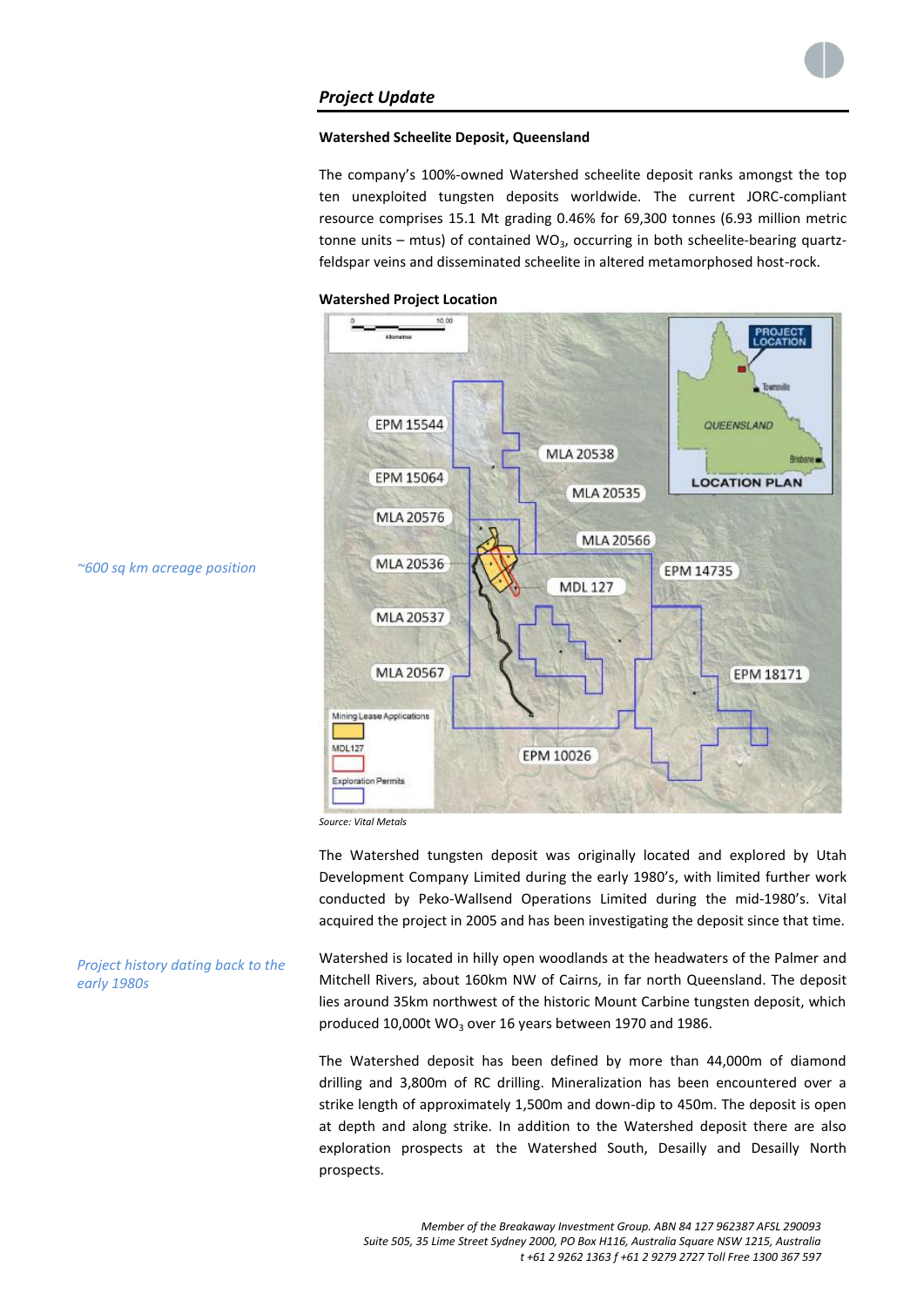

# *Project Update*

## **Watershed Scheelite Deposit, Queensland**

The company's 100%-owned Watershed scheelite deposit ranks amongst the top ten unexploited tungsten deposits worldwide. The current JORC-compliant resource comprises 15.1 Mt grading 0.46% for 69,300 tonnes (6.93 million metric tonne units – mtus) of contained  $WO_3$ , occurring in both scheelite-bearing quartzfeldspar veins and disseminated scheelite in altered metamorphosed host-rock.

## **Watershed Project Location**



*~600 sq km acreage position*

*early 1980s*

*Source: Vital Metals*

The Watershed tungsten deposit was originally located and explored by Utah Development Company Limited during the early 1980's, with limited further work conducted by Peko-Wallsend Operations Limited during the mid-1980's. Vital acquired the project in 2005 and has been investigating the deposit since that time.

*Project history dating back to the*  Watershed is located in hilly open woodlands at the headwaters of the Palmer and Mitchell Rivers, about 160km NW of Cairns, in far north Queensland. The deposit lies around 35km northwest of the historic Mount Carbine tungsten deposit, which produced 10,000t WO<sub>3</sub> over 16 years between 1970 and 1986.

> drilling and 3,800m of RC drilling. Mineralization has been encountered over a strike length of approximately 1,500m and down-dip to 450m. The deposit is open at depth and along strike. In addition to the Watershed deposit there are also exploration prospects at the Watershed South, Desailly and Desailly North prospects.

> The Watershed deposit has been defined by more than 44,000m of diamond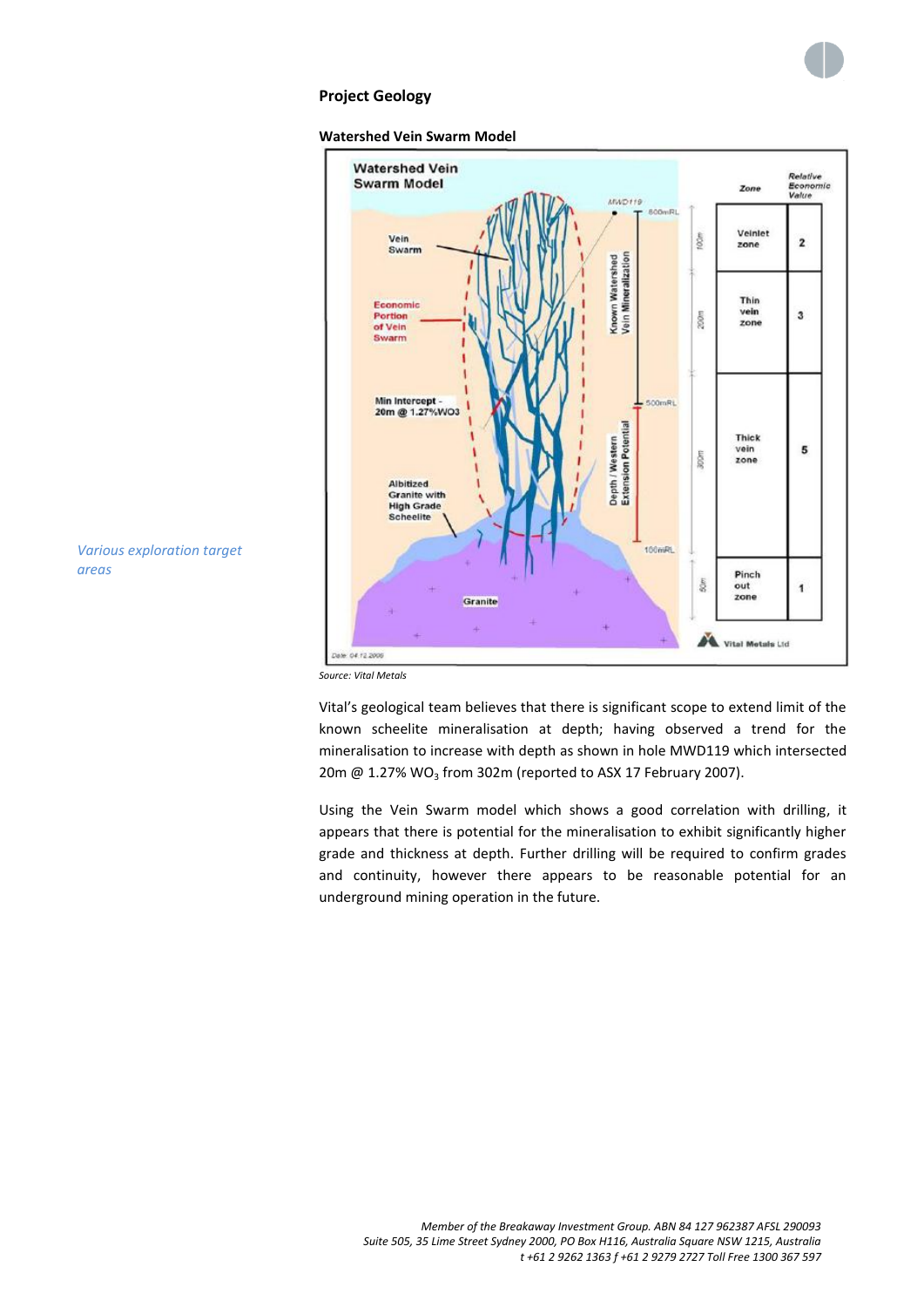





*Various exploration target areas*

*Source: Vital Metals*

Vital's geological team believes that there is significant scope to extend limit of the known scheelite mineralisation at depth; having observed a trend for the mineralisation to increase with depth as shown in hole MWD119 which intersected 20m  $@$  1.27% WO<sub>3</sub> from 302m (reported to ASX 17 February 2007).

Using the Vein Swarm model which shows a good correlation with drilling, it appears that there is potential for the mineralisation to exhibit significantly higher grade and thickness at depth. Further drilling will be required to confirm grades and continuity, however there appears to be reasonable potential for an underground mining operation in the future.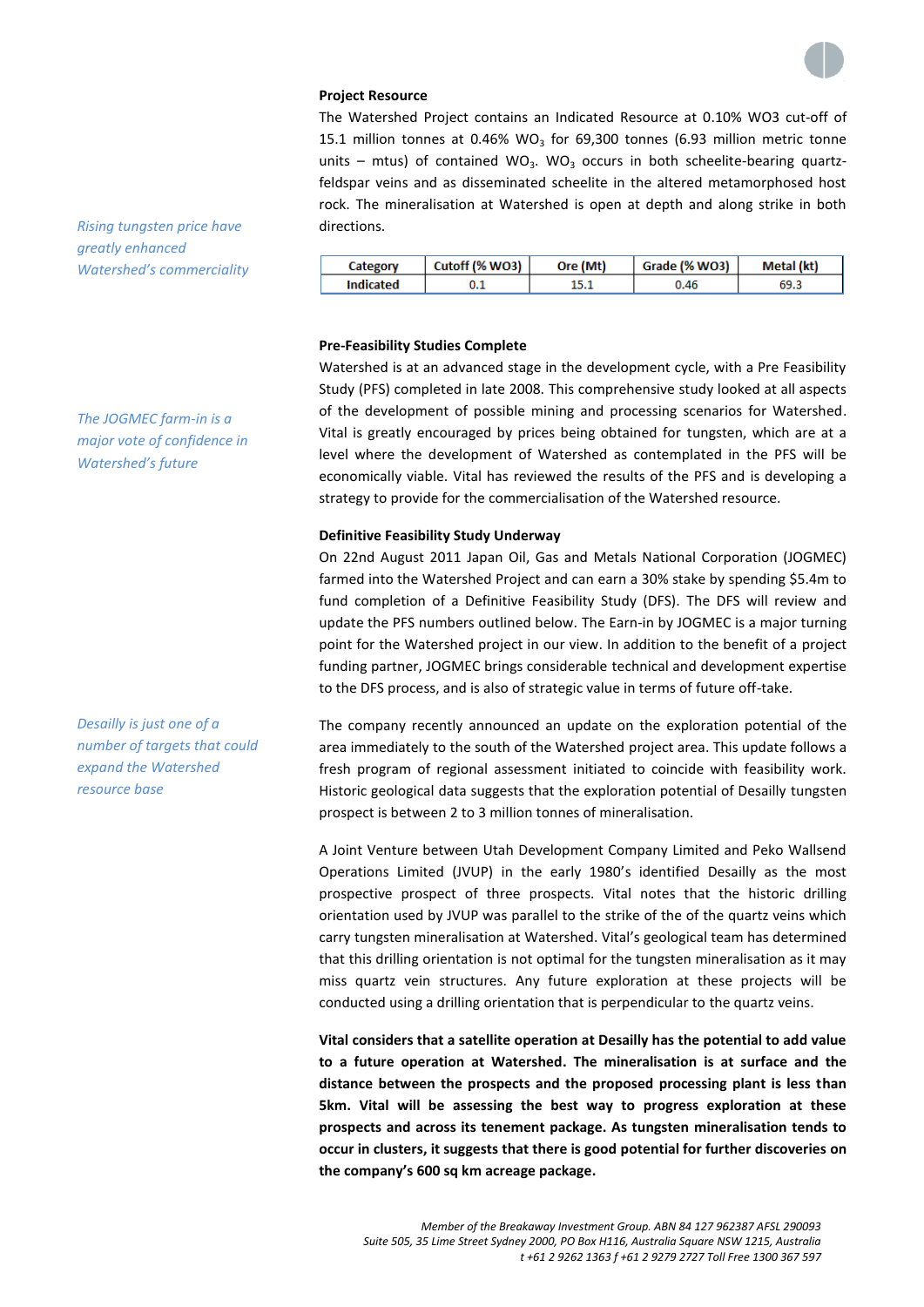

## **Project Resource**

The Watershed Project contains an Indicated Resource at 0.10% WO3 cut-off of 15.1 million tonnes at 0.46% WO<sub>3</sub> for 69,300 tonnes (6.93 million metric tonne units – mtus) of contained WO<sub>3</sub>. WO<sub>3</sub> occurs in both scheelite-bearing quartzfeldspar veins and as disseminated scheelite in the altered metamorphosed host rock. The mineralisation at Watershed is open at depth and along strike in both directions.

|           | Cutoff (% WO3) | Ore (Mt) | Grade (% WO3) | Metal (kt) |
|-----------|----------------|----------|---------------|------------|
| Indicated |                |          | ገ.46          |            |

## **Pre-Feasibility Studies Complete**

Watershed is at an advanced stage in the development cycle, with a Pre Feasibility Study (PFS) completed in late 2008. This comprehensive study looked at all aspects of the development of possible mining and processing scenarios for Watershed. Vital is greatly encouraged by prices being obtained for tungsten, which are at a level where the development of Watershed as contemplated in the PFS will be economically viable. Vital has reviewed the results of the PFS and is developing a strategy to provide for the commercialisation of the Watershed resource.

#### **Definitive Feasibility Study Underway**

On 22nd August 2011 Japan Oil, Gas and Metals National Corporation (JOGMEC) farmed into the Watershed Project and can earn a 30% stake by spending \$5.4m to fund completion of a Definitive Feasibility Study (DFS). The DFS will review and update the PFS numbers outlined below. The Earn-in by JOGMEC is a major turning point for the Watershed project in our view. In addition to the benefit of a project funding partner, JOGMEC brings considerable technical and development expertise to the DFS process, and is also of strategic value in terms of future off-take.

The company recently announced an update on the exploration potential of the area immediately to the south of the Watershed project area. This update follows a fresh program of regional assessment initiated to coincide with feasibility work. Historic geological data suggests that the exploration potential of Desailly tungsten prospect is between 2 to 3 million tonnes of mineralisation.

A Joint Venture between Utah Development Company Limited and Peko Wallsend Operations Limited (JVUP) in the early 1980's identified Desailly as the most prospective prospect of three prospects. Vital notes that the historic drilling orientation used by JVUP was parallel to the strike of the of the quartz veins which carry tungsten mineralisation at Watershed. Vital's geological team has determined that this drilling orientation is not optimal for the tungsten mineralisation as it may miss quartz vein structures. Any future exploration at these projects will be conducted using a drilling orientation that is perpendicular to the quartz veins.

**Vital considers that a satellite operation at Desailly has the potential to add value to a future operation at Watershed. The mineralisation is at surface and the distance between the prospects and the proposed processing plant is less than 5km. Vital will be assessing the best way to progress exploration at these prospects and across its tenement package. As tungsten mineralisation tends to occur in clusters, it suggests that there is good potential for further discoveries on the company's 600 sq km acreage package.**

*Rising tungsten price have* 

*Watershed's commerciality*

*greatly enhanced* 

*The JOGMEC farm-in is a major vote of confidence in Watershed's future*

*Desailly is just one of a number of targets that could expand the Watershed resource base*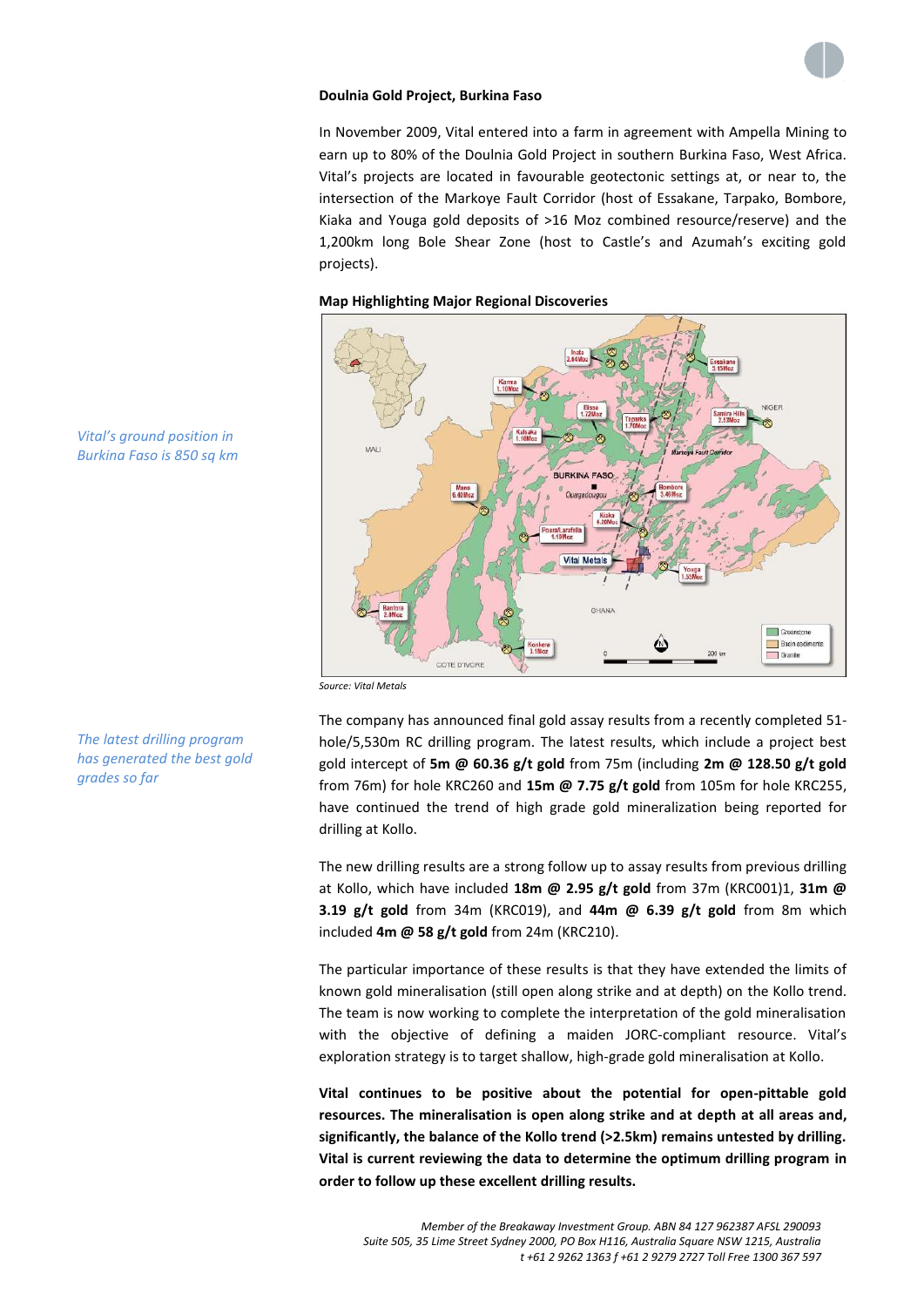

## **Doulnia Gold Project, Burkina Faso**

In November 2009, Vital entered into a farm in agreement with Ampella Mining to earn up to 80% of the Doulnia Gold Project in southern Burkina Faso, West Africa. Vital's projects are located in favourable geotectonic settings at, or near to, the intersection of the Markoye Fault Corridor (host of Essakane, Tarpako, Bombore, Kiaka and Youga gold deposits of >16 Moz combined resource/reserve) and the 1,200km long Bole Shear Zone (host to Castle's and Azumah's exciting gold projects).

## **Map Highlighting Major Regional Discoveries**



*Vital's ground position in Burkina Faso is 850 sq km*

*The latest drilling program has generated the best gold* 

*grades so far*

*Source: Vital Metals*

The company has announced final gold assay results from a recently completed 51 hole/5,530m RC drilling program. The latest results, which include a project best gold intercept of **5m @ 60.36 g/t gold** from 75m (including **2m @ 128.50 g/t gold**  from 76m) for hole KRC260 and **15m @ 7.75 g/t gold** from 105m for hole KRC255, have continued the trend of high grade gold mineralization being reported for drilling at Kollo.

The new drilling results are a strong follow up to assay results from previous drilling at Kollo, which have included **18m @ 2.95 g/t gold** from 37m (KRC001)1, **31m @ 3.19 g/t gold** from 34m (KRC019), and **44m @ 6.39 g/t gold** from 8m which included **4m @ 58 g/t gold** from 24m (KRC210).

The particular importance of these results is that they have extended the limits of known gold mineralisation (still open along strike and at depth) on the Kollo trend. The team is now working to complete the interpretation of the gold mineralisation with the objective of defining a maiden JORC-compliant resource. Vital's exploration strategy is to target shallow, high-grade gold mineralisation at Kollo.

**Vital continues to be positive about the potential for open-pittable gold resources. The mineralisation is open along strike and at depth at all areas and, significantly, the balance of the Kollo trend (>2.5km) remains untested by drilling. Vital is current reviewing the data to determine the optimum drilling program in order to follow up these excellent drilling results.**